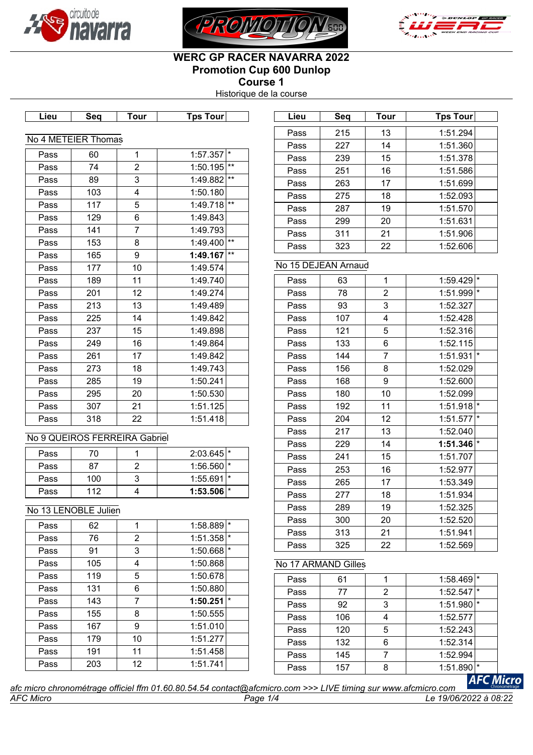





# **WERC GP RACER NAVARRA 2022 Promotion Cup 600 Dunlop Course 1**

Historique de la course

| Lieu. | зеа | our | <b>COUP</b><br>⊺ps | Liel | .ser<br>- 56 | our | our<br>īns |
|-------|-----|-----|--------------------|------|--------------|-----|------------|

| No 4 METEIER Thomas |     |                |          |       |  |  |
|---------------------|-----|----------------|----------|-------|--|--|
| Pass                | 60  | 1              | 1:57.357 | *     |  |  |
| Pass                | 74  | $\overline{2}$ | 1:50.195 | $***$ |  |  |
| Pass                | 89  | 3              | 1:49.882 | $***$ |  |  |
| Pass                | 103 | 4              | 1:50.180 |       |  |  |
| Pass                | 117 | 5              | 1:49.718 | $***$ |  |  |
| Pass                | 129 | 6              | 1:49.843 |       |  |  |
| Pass                | 141 | $\overline{7}$ | 1:49.793 |       |  |  |
| Pass                | 153 | 8              | 1:49.400 | $***$ |  |  |
| Pass                | 165 | 9              | 1:49.167 | $***$ |  |  |
| Pass                | 177 | 10             | 1:49.574 |       |  |  |
| Pass                | 189 | 11             | 1:49.740 |       |  |  |
| Pass                | 201 | 12             | 1:49.274 |       |  |  |
| Pass                | 213 | 13             | 1:49.489 |       |  |  |
| Pass                | 225 | 14             | 1:49.842 |       |  |  |
| Pass                | 237 | 15             | 1:49.898 |       |  |  |
| Pass                | 249 | 16             | 1:49.864 |       |  |  |
| Pass                | 261 | 17             | 1:49.842 |       |  |  |
| Pass                | 273 | 18             | 1:49.743 |       |  |  |
| Pass                | 285 | 19             | 1:50.241 |       |  |  |
| Pass                | 295 | 20             | 1:50.530 |       |  |  |
| Pass                | 307 | 21             | 1:51.125 |       |  |  |
| Pass                | 318 | 22             | 1:51.418 |       |  |  |

## No 9 QUEIROS FERREIRA Gabriel

| Pass |     | $2:03.645$ <sup>*</sup> |  |
|------|-----|-------------------------|--|
| Pass | 87  | $1:56.560$ <sup>*</sup> |  |
| Pass | 100 | $1:55.691$ <sup>*</sup> |  |
| Pass | 112 | $1:53.506$ $*$          |  |

## No 13 LENOBLE Julien

| Pass | 62  | 1  | $\star$<br>1:58.889 |  |
|------|-----|----|---------------------|--|
| Pass | 76  | 2  | $\star$<br>1:51.358 |  |
| Pass | 91  | 3  | $\star$<br>1:50.668 |  |
| Pass | 105 | 4  | 1:50.868            |  |
| Pass | 119 | 5  | 1:50.678            |  |
| Pass | 131 | 6  | 1:50.880            |  |
| Pass | 143 | 7  | $\star$<br>1:50.251 |  |
| Pass | 155 | 8  | 1:50.555            |  |
| Pass | 167 | 9  | 1:51.010            |  |
| Pass | 179 | 10 | 1:51.277            |  |
| Pass | 191 | 11 | 1:51.458            |  |
| Pass | 203 | 12 | 1:51.741            |  |
|      |     |    |                     |  |

| Lieu | Sea | Tour | Tps Tour |
|------|-----|------|----------|
| Pass | 215 | 13   | 1:51.294 |
| Pass | 227 | 14   | 1:51.360 |
| Pass | 239 | 15   | 1:51.378 |
| Pass | 251 | 16   | 1:51.586 |
| Pass | 263 | 17   | 1:51.699 |
| Pass | 275 | 18   | 1:52.093 |
| Pass | 287 | 19   | 1:51.570 |
| Pass | 299 | 20   | 1:51.631 |
| Pass | 311 | 21   | 1:51.906 |
| Pass | 323 | 22   | 1:52.606 |

# No 15 DEJEAN Arnaud

| 63  | 1              | $1:59.429$ <sup>*</sup> |         |
|-----|----------------|-------------------------|---------|
| 78  | $\overline{c}$ | 1:51.999                | $\star$ |
| 93  | 3              | 1:52.327                |         |
| 107 | 4              | 1:52.428                |         |
| 121 | 5              | 1:52.316                |         |
| 133 | 6              | 1:52.115                |         |
| 144 | $\overline{7}$ | 1:51.931                | $\star$ |
| 156 | 8              | 1:52.029                |         |
| 168 | 9              | 1:52.600                |         |
| 180 | 10             | 1:52.099                |         |
| 192 | 11             | 1:51.918                | $\star$ |
| 204 | 12             | 1:51.577                | $\star$ |
| 217 | 13             | 1:52.040                |         |
| 229 | 14             | $1:51.346$ <sup>*</sup> |         |
| 241 | 15             | 1:51.707                |         |
| 253 | 16             | 1:52.977                |         |
| 265 | 17             | 1:53.349                |         |
| 277 | 18             | 1:51.934                |         |
| 289 | 19             | 1:52.325                |         |
| 300 | 20             | 1:52.520                |         |
| 313 | 21             | 1:51.941                |         |
| 325 | 22             | 1:52.569                |         |
|     |                |                         |         |

## No 17 ARMAND Gilles

| Pass | 61  |   | 1:58.469 |     |                  |
|------|-----|---|----------|-----|------------------|
| Pass | 77  | 2 | 1:52.547 | I∗  |                  |
| Pass | 92  | 3 | 1:51.980 | l * |                  |
| Pass | 106 |   | 1:52.577 |     |                  |
| Pass | 120 | 5 | 1:52.243 |     |                  |
| Pass | 132 | 6 | 1:52.314 |     |                  |
| Pass | 145 |   | 1:52.994 |     |                  |
| Pass | 157 | 8 | 1:51.890 |     |                  |
|      | .   |   |          |     | <b>AFC Micro</b> |

*AFC Micro Page 1/4 Le 19/06/2022 à 08:22 afc micro chronométrage officiel ffm 01.60.80.54.54 contact@afcmicro.com >>> LIVE timing sur www.afcmicro.com*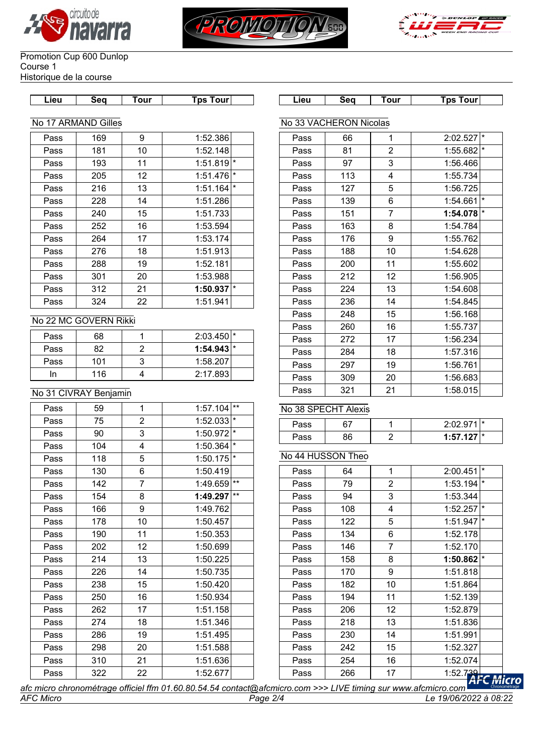





#### Promotion Cup 600 Dunlop Course 1 Historique de la course

| Lieu | Sea | our | <b>Tour</b><br>ps | 10 L<br><u>ricu</u> | Seq | . our<br>___ | `ps<br>our |
|------|-----|-----|-------------------|---------------------|-----|--------------|------------|

# No 17 ARMAND Gilles

| Pass | 169 | 9  | 1:52.386 |          |
|------|-----|----|----------|----------|
| Pass | 181 | 10 | 1:52.148 |          |
| Pass | 193 | 11 | 1:51.819 | $\star$  |
| Pass | 205 | 12 | 1:51.476 | $\star$  |
| Pass | 216 | 13 | 1:51.164 | $^\star$ |
| Pass | 228 | 14 | 1:51.286 |          |
| Pass | 240 | 15 | 1:51.733 |          |
| Pass | 252 | 16 | 1:53.594 |          |
| Pass | 264 | 17 | 1:53.174 |          |
| Pass | 276 | 18 | 1:51.913 |          |
| Pass | 288 | 19 | 1:52.181 |          |
| Pass | 301 | 20 | 1:53.988 |          |
| Pass | 312 | 21 | 1:50.937 | $\star$  |
| Pass | 324 | 22 | 1:51.941 |          |

## No 22 MC GOVERN Rikki

| Pass | 68  | $2:03.450$ <sup>*</sup> |  |
|------|-----|-------------------------|--|
| Pass | 82  | $1:54.943$ <sup>*</sup> |  |
| Pass | 101 | 1:58.207                |  |
| n    | 116 | 2:17.893                |  |

## No 31 CIVRAY Benjamin

| Pass | 59  | 1              | $***$<br>1:57.104   |
|------|-----|----------------|---------------------|
| Pass | 75  | $\overline{2}$ | $\star$<br>1:52.033 |
| Pass | 90  | 3              | $\star$<br>1:50.972 |
| Pass | 104 | 4              | $\star$<br>1:50.364 |
| Pass | 118 | 5              | $\star$<br>1:50.175 |
| Pass | 130 | 6              | 1:50.419            |
| Pass | 142 | $\overline{7}$ | $***$<br>1:49.659   |
| Pass | 154 | 8              | $***$<br>1:49.297   |
| Pass | 166 | 9              | 1:49.762            |
| Pass | 178 | 10             | 1:50.457            |
| Pass | 190 | 11             | 1:50.353            |
| Pass | 202 | 12             | 1:50.699            |
| Pass | 214 | 13             | 1:50.225            |
| Pass | 226 | 14             | 1:50.735            |
| Pass | 238 | 15             | 1:50.420            |
| Pass | 250 | 16             | 1:50.934            |
| Pass | 262 | 17             | 1:51.158            |
| Pass | 274 | 18             | 1:51.346            |
| Pass | 286 | 19             | 1:51.495            |
| Pass | 298 | 20             | 1:51.588            |
| Pass | 310 | 21             | 1:51.636            |
| Pass | 322 | 22             | 1:52.677            |

|      | No 33 VACHERON Nicolas |                |                     |
|------|------------------------|----------------|---------------------|
| Pass | 66                     | 1              | $\star$<br>2:02.527 |
| Pass | 81                     | $\overline{2}$ | $\star$<br>1:55.682 |
| Pass | 97                     | 3              | 1:56.466            |
| Pass | 113                    | 4              | 1:55.734            |
| Pass | 127                    | 5              | 1:56.725            |
| Pass | 139                    | 6              | $\star$<br>1:54.661 |
| Pass | 151                    | $\overline{7}$ | $\star$<br>1:54.078 |
| Pass | 163                    | 8              | 1:54.784            |
| Pass | 176                    | 9              | 1:55.762            |
| Pass | 188                    | 10             | 1:54.628            |
| Pass | 200                    | 11             | 1:55.602            |
| Pass | 212                    | 12             | 1:56.905            |
| Pass | 224                    | 13             | 1:54.608            |
| Pass | 236                    | 14             | 1:54.845            |
| Pass | 248                    | 15             | 1:56.168            |
| Pass | 260                    | 16             | 1:55.737            |
| Pass | 272                    | 17             | 1:56.234            |
| Pass | 284                    | 18             | 1:57.316            |
| Pass | 297                    | 19             | 1:56.761            |
| Pass | 309                    | 20             | 1:56.683            |
| Pass | 321                    | 21             | 1:58.015            |

### No 38 SPECHT Alexis

| ∽ass |    | 0.020211                 |  |
|------|----|--------------------------|--|
| ≁ass | ነድ | $\sim$ 127 $\pm$<br>1.57 |  |

### No 44 HUSSON Theo

| Pass | 64  | 1  | $\star$<br>2:00.451 |     |
|------|-----|----|---------------------|-----|
| Pass | 79  | 2  | $\star$<br>1:53.194 |     |
| Pass | 94  | 3  | 1:53.344            |     |
| Pass | 108 | 4  | $\star$<br>1:52.257 |     |
| Pass | 122 | 5  | $\star$<br>1:51.947 |     |
| Pass | 134 | 6  | 1:52.178            |     |
| Pass | 146 | 7  | 1:52.170            |     |
| Pass | 158 | 8  | $\star$<br>1:50.862 |     |
| Pass | 170 | 9  | 1:51.818            |     |
| Pass | 182 | 10 | 1:51.864            |     |
| Pass | 194 | 11 | 1:52.139            |     |
| Pass | 206 | 12 | 1:52.879            |     |
| Pass | 218 | 13 | 1:51.836            |     |
| Pass | 230 | 14 | 1:51.991            |     |
| Pass | 242 | 15 | 1:52.327            |     |
| Pass | 254 | 16 | 1:52.074            |     |
| Pass | 266 | 17 | 1:52.739            | Mi, |
|      |     |    |                     |     |

ro: *afc micro chronométrage officiel ffm 01.60.80.54.54 contact@afcmicro.com >>> LIVE timing sur www.afcmicro.com AFC Micro Page 2/4 Le 19/06/2022 à 08:22*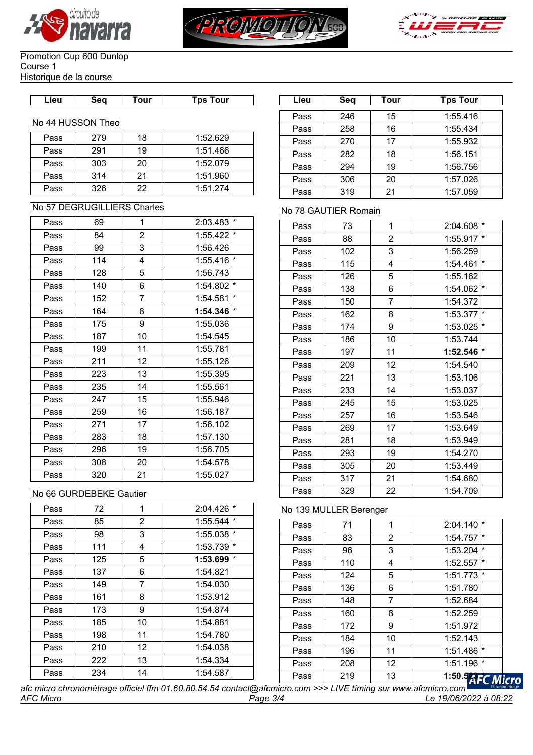





#### Promotion Cup 600 Dunlop Course 1 Historique de la course

| Lieu. | sea | Tour | Tps Tourl |  |
|-------|-----|------|-----------|--|

#### No 44 HUSSON Theo

| Pass | 279 | 18 | 1:52.629 |
|------|-----|----|----------|
| Pass | 291 | 19 | 1:51.466 |
| Pass | 303 | 20 | 1:52.079 |
| Pass | 314 | 21 | 1:51.960 |
| Pass | 326 | 22 | 1:51.274 |

### No 57 DEGRUGILLIERS Charles

| Pass | 69  | 1              | 2:03.483 | $\star$ |
|------|-----|----------------|----------|---------|
| Pass | 84  | $\overline{2}$ | 1:55.422 | $\star$ |
| Pass | 99  | 3              | 1:56.426 |         |
| Pass | 114 | 4              | 1:55.416 | $\star$ |
| Pass | 128 | 5              | 1:56.743 |         |
| Pass | 140 | 6              | 1:54.802 | $\star$ |
| Pass | 152 | 7              | 1:54.581 | $\star$ |
| Pass | 164 | 8              | 1:54.346 | $\star$ |
| Pass | 175 | 9              | 1:55.036 |         |
| Pass | 187 | 10             | 1:54.545 |         |
| Pass | 199 | 11             | 1:55.781 |         |
| Pass | 211 | 12             | 1:55.126 |         |
| Pass | 223 | 13             | 1:55.395 |         |
| Pass | 235 | 14             | 1:55.561 |         |
| Pass | 247 | 15             | 1:55.946 |         |
| Pass | 259 | 16             | 1:56.187 |         |
| Pass | 271 | 17             | 1:56.102 |         |
| Pass | 283 | 18             | 1:57.130 |         |
| Pass | 296 | 19             | 1:56.705 |         |
| Pass | 308 | 20             | 1:54.578 |         |
| Pass | 320 | 21             | 1:55.027 |         |

## No 66 GURDEBEKE Gautier

| Pass | 72  | 1  | $\star$<br>2:04.426 |
|------|-----|----|---------------------|
| Pass | 85  | 2  | $\star$<br>1:55.544 |
| Pass | 98  | 3  | $\star$<br>1:55.038 |
| Pass | 111 | 4  | $\star$<br>1:53.739 |
| Pass | 125 | 5  | $\star$<br>1:53.699 |
| Pass | 137 | 6  | 1:54.821            |
| Pass | 149 | 7  | 1:54.030            |
| Pass | 161 | 8  | 1:53.912            |
| Pass | 173 | 9  | 1:54.874            |
| Pass | 185 | 10 | 1:54.881            |
| Pass | 198 | 11 | 1:54.780            |
| Pass | 210 | 12 | 1:54.038            |
| Pass | 222 | 13 | 1:54.334            |
| Pass | 234 | 14 | 1:54.587            |

| Lieu | Sea            | Tour | Tps Tour∣ | Lieu | Seq | <b>Tour</b> | <b>Tps Tour</b> |
|------|----------------|------|-----------|------|-----|-------------|-----------------|
|      |                |      |           | Pass | 246 | 15          | 1:55.416        |
|      | 44 HUSSON Theo |      |           | Pass | 258 | 16          | 1:55.434        |
| Pass | 279            | 18   | 1:52.629  | Pass | 270 | 17          | 1:55.932        |
| Pass | 291            | 19   | 1:51.466  | Pass | 282 | 18          | 1:56.151        |
| Pass | 303            | 20   | 1:52.079  | Pass | 294 | 19          | 1:56.756        |
| Pass | 314            | 21   | 1:51.960  | Pass | 306 | 20          | 1:57.026        |
| Pass | 326            | 22   | 1:51.274  | Pass | 319 | 21          | 1:57.059        |
|      |                |      |           |      |     |             |                 |

## No 78 GAUTIER Romain

| Pass | 73  | $\mathbf{1}$   | ×<br>2:04.608       |
|------|-----|----------------|---------------------|
| Pass | 88  | $\overline{c}$ | $\star$<br>1:55.917 |
| Pass | 102 | 3              | 1:56.259            |
| Pass | 115 | 4              | $\star$<br>1:54.461 |
| Pass | 126 | 5              | 1:55.162            |
| Pass | 138 | 6              | $\star$<br>1:54.062 |
| Pass | 150 | $\overline{7}$ | 1:54.372            |
| Pass | 162 | 8              | $\star$<br>1:53.377 |
| Pass | 174 | 9              | $\star$<br>1:53.025 |
| Pass | 186 | 10             | 1:53.744            |
| Pass | 197 | 11             | $\star$<br>1:52.546 |
| Pass | 209 | 12             | 1:54.540            |
| Pass | 221 | 13             | 1:53.106            |
| Pass | 233 | 14             | 1:53.037            |
| Pass | 245 | 15             | 1:53.025            |
| Pass | 257 | 16             | 1:53.546            |
| Pass | 269 | 17             | 1:53.649            |
| Pass | 281 | 18             | 1:53.949            |
| Pass | 293 | 19             | 1:54.270            |
| Pass | 305 | 20             | 1:53.449            |
| Pass | 317 | 21             | 1:54.680            |
| Pass | 329 | 22             | 1:54.709            |

## No 139 MULLER Berenger

| Pass | 71  | 1  | $\star$<br>2:04.140 |
|------|-----|----|---------------------|
| Pass | 83  | 2  | $\star$<br>1:54.757 |
| Pass | 96  | 3  | $\star$<br>1:53.204 |
| Pass | 110 | 4  | $\star$<br>1:52.557 |
| Pass | 124 | 5  | $\star$<br>1:51.773 |
| Pass | 136 | 6  | 1:51.780            |
| Pass | 148 | 7  | 1:52.684            |
| Pass | 160 | 8  | 1:52.259            |
| Pass | 172 | 9  | 1:51.972            |
| Pass | 184 | 10 | 1:52.143            |
| Pass | 196 | 11 | $\star$<br>1:51.486 |
| Pass | 208 | 12 | $\star$<br>1:51.196 |
| Pass | 219 | 13 | 1:50.523H<br>Mi     |

**cro** *afc micro chronométrage officiel ffm 01.60.80.54.54 contact@afcmicro.com >>> LIVE timing sur www.afcmicro.com AFC Micro Page 3/4 Le 19/06/2022 à 08:22*